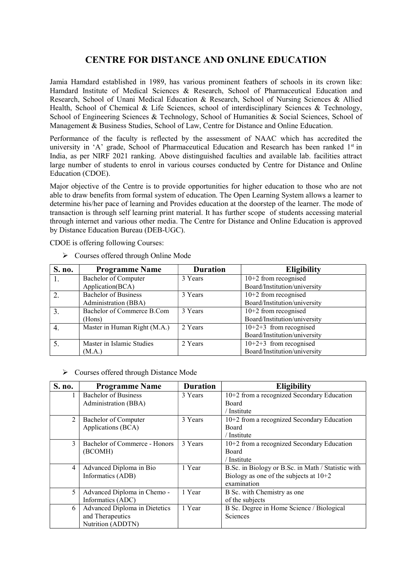## CENTRE FOR DISTANCE AND ONLINE EDUCATION

Jamia Hamdard established in 1989, has various prominent feathers of schools in its crown like: Hamdard Institute of Medical Sciences & Research, School of Pharmaceutical Education and Research, School of Unani Medical Education & Research, School of Nursing Sciences & Allied Health, School of Chemical & Life Sciences, school of interdisciplinary Sciences & Technology, School of Engineering Sciences & Technology, School of Humanities & Social Sciences, School of Management & Business Studies, School of Law, Centre for Distance and Online Education.

Performance of the faculty is reflected by the assessment of NAAC which has accredited the university in 'A' grade, School of Pharmaceutical Education and Research has been ranked 1<sup>st</sup> in India, as per NIRF 2021 ranking. Above distinguished faculties and available lab. facilities attract large number of students to enrol in various courses conducted by Centre for Distance and Online Education (CDOE).

Major objective of the Centre is to provide opportunities for higher education to those who are not able to draw benefits from formal system of education. The Open Learning System allows a learner to determine his/her pace of learning and Provides education at the doorstep of the learner. The mode of transaction is through self learning print material. It has further scope of students accessing material through internet and various other media. The Centre for Distance and Online Education is approved by Distance Education Bureau (DEB-UGC).

CDOE is offering following Courses:

 $\triangleright$  Courses offered through Online Mode

| S. no. | <b>Programme Name</b>        | <b>Duration</b> | <b>Eligibility</b>           |
|--------|------------------------------|-----------------|------------------------------|
| 1.     | Bachelor of Computer         | 3 Years         | $10+2$ from recognised       |
|        | Application(BCA)             |                 | Board/Institution/university |
|        | <b>Bachelor of Business</b>  | 3 Years         | $10+2$ from recognised       |
|        | Administration (BBA)         |                 | Board/Institution/university |
|        | Bachelor of Commerce B.Com   | 3 Years         | $10+2$ from recognised       |
|        | (Hons)                       |                 | Board/Institution/university |
|        | Master in Human Right (M.A.) | 2 Years         | $10+2+3$ from recognised     |
|        |                              |                 | Board/Institution/university |
|        | Master in Islamic Studies    | 2 Years         | $10+2+3$ from recognised     |
|        | (M.A.)                       |                 | Board/Institution/university |

## Courses offered through Distance Mode

| S. no. | <b>Programme Name</b>         | <b>Duration</b> | <b>Eligibility</b>                                 |
|--------|-------------------------------|-----------------|----------------------------------------------------|
|        | <b>Bachelor of Business</b>   | 3 Years         | 10+2 from a recognized Secondary Education         |
|        | Administration (BBA)          |                 | Board                                              |
|        |                               |                 | / Institute                                        |
| 2      | Bachelor of Computer          | 3 Years         | 10+2 from a recognized Secondary Education         |
|        | Applications (BCA)            |                 | Board                                              |
|        |                               |                 | / Institute                                        |
| 3      | Bachelor of Commerce - Honors | 3 Years         | 10+2 from a recognized Secondary Education         |
|        | (BCOMH)                       |                 | Board                                              |
|        |                               |                 | / Institute                                        |
| 4      | Advanced Diploma in Bio       | 1 Year          | B.Sc. in Biology or B.Sc. in Math / Statistic with |
|        | Informatics (ADB)             |                 | Biology as one of the subjects at $10+2$           |
|        |                               |                 | examination                                        |
| 5      | Advanced Diploma in Chemo -   | 1 Year          | B Sc. with Chemistry as one                        |
|        | Informatics (ADC)             |                 | of the subjects                                    |
| 6      | Advanced Diploma in Dietetics | 1 Year          | B Sc. Degree in Home Science / Biological          |
|        | and Therapeutics              |                 | <b>Sciences</b>                                    |
|        | Nutrition (ADDTN)             |                 |                                                    |